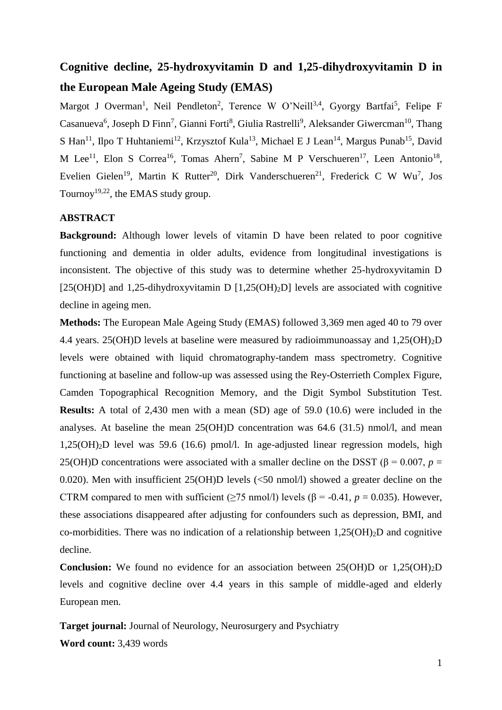# **Cognitive decline, 25-hydroxyvitamin D and 1,25-dihydroxyvitamin D in the European Male Ageing Study (EMAS)**

Margot J Overman<sup>1</sup>, Neil Pendleton<sup>2</sup>, Terence W O'Neill<sup>3,4</sup>, Gyorgy Bartfai<sup>5</sup>, Felipe F Casanueva<sup>6</sup>, Joseph D Finn<sup>7</sup>, Gianni Forti<sup>8</sup>, Giulia Rastrelli<sup>9</sup>, Aleksander Giwercman<sup>10</sup>, Thang S Han<sup>11</sup>, Ilpo T Huhtaniemi<sup>12</sup>, Krzysztof Kula<sup>13</sup>, Michael E J Lean<sup>14</sup>, Margus Punab<sup>15</sup>, David M Lee<sup>11</sup>, Elon S Correa<sup>16</sup>, Tomas Ahern<sup>7</sup>, Sabine M P Verschueren<sup>17</sup>, Leen Antonio<sup>18</sup>, Evelien Gielen<sup>19</sup>, Martin K Rutter<sup>20</sup>, Dirk Vanderschueren<sup>21</sup>, Frederick C W Wu<sup>7</sup>, Jos Tournoy<sup>19,22</sup>, the EMAS study group.

# **ABSTRACT**

**Background:** Although lower levels of vitamin D have been related to poor cognitive functioning and dementia in older adults, evidence from longitudinal investigations is inconsistent. The objective of this study was to determine whether 25-hydroxyvitamin D [25(OH)D] and 1,25-dihydroxyvitamin D  $[1,25(OH)_2D]$  levels are associated with cognitive decline in ageing men.

**Methods:** The European Male Ageing Study (EMAS) followed 3,369 men aged 40 to 79 over 4.4 years. 25(OH)D levels at baseline were measured by radioimmunoassay and 1,25(OH)2D levels were obtained with liquid chromatography-tandem mass spectrometry. Cognitive functioning at baseline and follow-up was assessed using the Rey-Osterrieth Complex Figure, Camden Topographical Recognition Memory, and the Digit Symbol Substitution Test. **Results:** A total of 2,430 men with a mean (SD) age of 59.0 (10.6) were included in the analyses. At baseline the mean 25(OH)D concentration was 64.6 (31.5) nmol/l, and mean 1,25(OH)2D level was 59.6 (16.6) pmol/l. In age-adjusted linear regression models, high 25(OH)D concentrations were associated with a smaller decline on the DSST ( $\beta$  = 0.007, *p* = 0.020). Men with insufficient 25(OH)D levels (<50 nmol/l) showed a greater decline on the CTRM compared to men with sufficient ( $>75$  nmol/l) levels ( $\beta$  = -0.41,  $p = 0.035$ ). However, these associations disappeared after adjusting for confounders such as depression, BMI, and co-morbidities. There was no indication of a relationship between  $1.25(OH)_{2}D$  and cognitive decline.

**Conclusion:** We found no evidence for an association between 25(OH)D or 1,25(OH)<sub>2</sub>D levels and cognitive decline over 4.4 years in this sample of middle-aged and elderly European men.

**Target journal:** Journal of Neurology, Neurosurgery and Psychiatry **Word count:** 3,439 words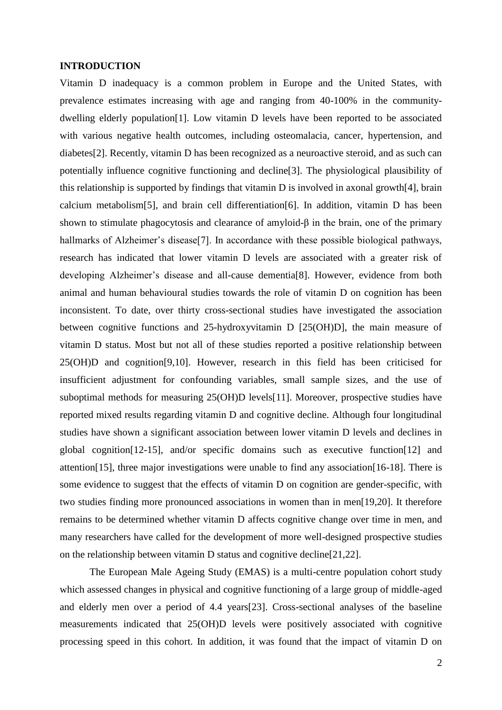#### **INTRODUCTION**

Vitamin D inadequacy is a common problem in Europe and the United States, with prevalence estimates increasing with age and ranging from 40-100% in the communitydwelling elderly population[1]. Low vitamin D levels have been reported to be associated with various negative health outcomes, including osteomalacia, cancer, hypertension, and diabetes[2]. Recently, vitamin D has been recognized as a neuroactive steroid, and as such can potentially influence cognitive functioning and decline[3]. The physiological plausibility of this relationship is supported by findings that vitamin D is involved in axonal growth[4], brain calcium metabolism[5], and brain cell differentiation[6]. In addition, vitamin D has been shown to stimulate phagocytosis and clearance of amyloid- $\beta$  in the brain, one of the primary hallmarks of Alzheimer's disease<sup>[7]</sup>. In accordance with these possible biological pathways, research has indicated that lower vitamin D levels are associated with a greater risk of developing Alzheimer's disease and all-cause dementia[8]. However, evidence from both animal and human behavioural studies towards the role of vitamin D on cognition has been inconsistent. To date, over thirty cross-sectional studies have investigated the association between cognitive functions and 25-hydroxyvitamin D [25(OH)D], the main measure of vitamin D status. Most but not all of these studies reported a positive relationship between 25(OH)D and cognition[9,10]. However, research in this field has been criticised for insufficient adjustment for confounding variables, small sample sizes, and the use of suboptimal methods for measuring 25(OH)D levels[11]. Moreover, prospective studies have reported mixed results regarding vitamin D and cognitive decline. Although four longitudinal studies have shown a significant association between lower vitamin D levels and declines in global cognition[12-15], and/or specific domains such as executive function[12] and attention[15], three major investigations were unable to find any association[16-18]. There is some evidence to suggest that the effects of vitamin D on cognition are gender-specific, with two studies finding more pronounced associations in women than in men[19,20]. It therefore remains to be determined whether vitamin D affects cognitive change over time in men, and many researchers have called for the development of more well-designed prospective studies on the relationship between vitamin D status and cognitive decline[21,22].

The European Male Ageing Study (EMAS) is a multi-centre population cohort study which assessed changes in physical and cognitive functioning of a large group of middle-aged and elderly men over a period of 4.4 years[23]. Cross-sectional analyses of the baseline measurements indicated that 25(OH)D levels were positively associated with cognitive processing speed in this cohort. In addition, it was found that the impact of vitamin D on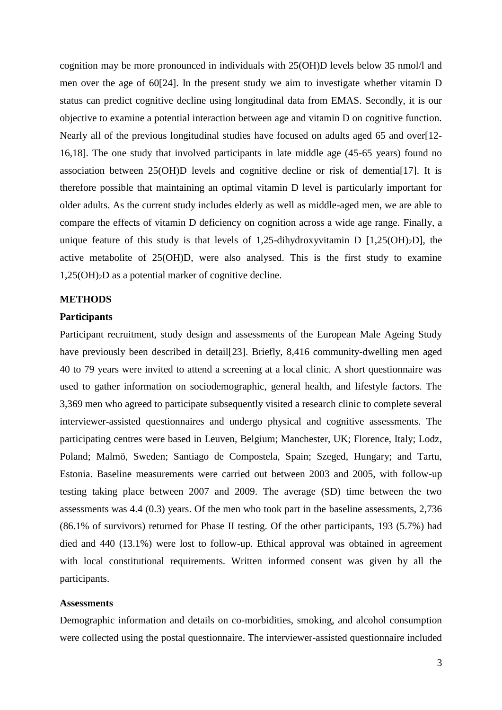cognition may be more pronounced in individuals with 25(OH)D levels below 35 nmol/l and men over the age of 60[24]. In the present study we aim to investigate whether vitamin D status can predict cognitive decline using longitudinal data from EMAS. Secondly, it is our objective to examine a potential interaction between age and vitamin D on cognitive function. Nearly all of the previous longitudinal studies have focused on adults aged 65 and over[12- 16,18]. The one study that involved participants in late middle age (45-65 years) found no association between 25(OH)D levels and cognitive decline or risk of dementia[17]. It is therefore possible that maintaining an optimal vitamin D level is particularly important for older adults. As the current study includes elderly as well as middle-aged men, we are able to compare the effects of vitamin D deficiency on cognition across a wide age range. Finally, a unique feature of this study is that levels of 1,25-dihydroxyvitamin D  $[1,25(OH)<sub>2</sub>D]$ , the active metabolite of 25(OH)D, were also analysed. This is the first study to examine  $1,25(OH)<sub>2</sub>D$  as a potential marker of cognitive decline.

## **METHODS**

### **Participants**

Participant recruitment, study design and assessments of the European Male Ageing Study have previously been described in detail[23]. Briefly, 8,416 community-dwelling men aged 40 to 79 years were invited to attend a screening at a local clinic. A short questionnaire was used to gather information on sociodemographic, general health, and lifestyle factors. The 3,369 men who agreed to participate subsequently visited a research clinic to complete several interviewer-assisted questionnaires and undergo physical and cognitive assessments. The participating centres were based in Leuven, Belgium; Manchester, UK; Florence, Italy; Lodz, Poland; Malmö, Sweden; Santiago de Compostela, Spain; Szeged, Hungary; and Tartu, Estonia. Baseline measurements were carried out between 2003 and 2005, with follow-up testing taking place between 2007 and 2009. The average (SD) time between the two assessments was 4.4 (0.3) years. Of the men who took part in the baseline assessments, 2,736 (86.1% of survivors) returned for Phase II testing. Of the other participants, 193 (5.7%) had died and 440 (13.1%) were lost to follow-up. Ethical approval was obtained in agreement with local constitutional requirements. Written informed consent was given by all the participants.

#### **Assessments**

Demographic information and details on co-morbidities, smoking, and alcohol consumption were collected using the postal questionnaire. The interviewer-assisted questionnaire included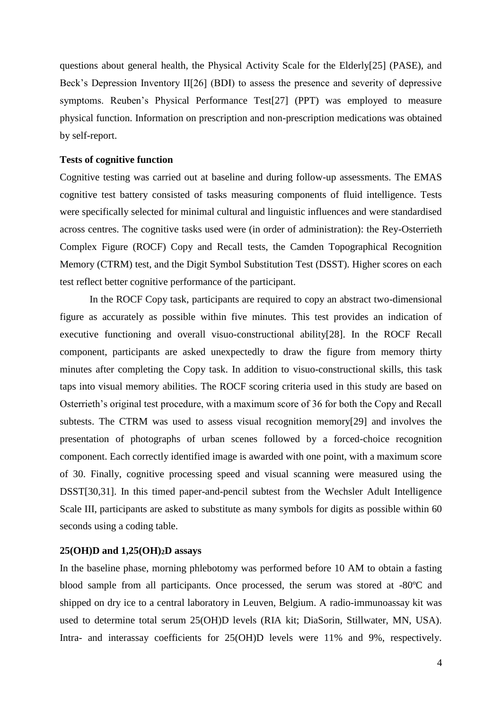questions about general health, the Physical Activity Scale for the Elderly[25] (PASE), and Beck's Depression Inventory II[26] (BDI) to assess the presence and severity of depressive symptoms. Reuben's Physical Performance Test[27] (PPT) was employed to measure physical function. Information on prescription and non-prescription medications was obtained by self-report.

#### **Tests of cognitive function**

Cognitive testing was carried out at baseline and during follow-up assessments. The EMAS cognitive test battery consisted of tasks measuring components of fluid intelligence. Tests were specifically selected for minimal cultural and linguistic influences and were standardised across centres. The cognitive tasks used were (in order of administration): the Rey-Osterrieth Complex Figure (ROCF) Copy and Recall tests, the Camden Topographical Recognition Memory (CTRM) test, and the Digit Symbol Substitution Test (DSST). Higher scores on each test reflect better cognitive performance of the participant.

In the ROCF Copy task, participants are required to copy an abstract two-dimensional figure as accurately as possible within five minutes. This test provides an indication of executive functioning and overall visuo-constructional ability[28]. In the ROCF Recall component, participants are asked unexpectedly to draw the figure from memory thirty minutes after completing the Copy task. In addition to visuo-constructional skills, this task taps into visual memory abilities. The ROCF scoring criteria used in this study are based on Osterrieth's original test procedure, with a maximum score of 36 for both the Copy and Recall subtests. The CTRM was used to assess visual recognition memory[29] and involves the presentation of photographs of urban scenes followed by a forced-choice recognition component. Each correctly identified image is awarded with one point, with a maximum score of 30. Finally, cognitive processing speed and visual scanning were measured using the DSST[30,31]. In this timed paper-and-pencil subtest from the Wechsler Adult Intelligence Scale III, participants are asked to substitute as many symbols for digits as possible within 60 seconds using a coding table.

### **25(OH)D and 1,25(OH)2D assays**

In the baseline phase, morning phlebotomy was performed before 10 AM to obtain a fasting blood sample from all participants. Once processed, the serum was stored at -80ºC and shipped on dry ice to a central laboratory in Leuven, Belgium. A radio-immunoassay kit was used to determine total serum 25(OH)D levels (RIA kit; DiaSorin, Stillwater, MN, USA). Intra- and interassay coefficients for 25(OH)D levels were 11% and 9%, respectively.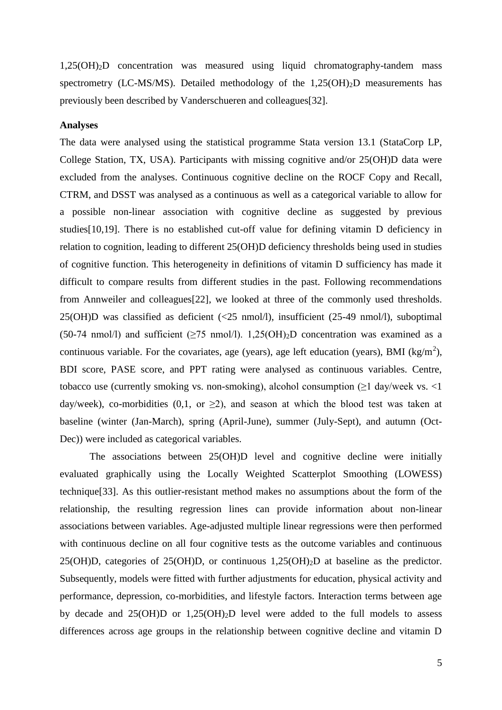1,25(OH)2D concentration was measured using liquid chromatography-tandem mass spectrometry (LC-MS/MS). Detailed methodology of the  $1,25(OH)<sub>2</sub>D$  measurements has previously been described by Vanderschueren and colleagues[32].

# **Analyses**

The data were analysed using the statistical programme Stata version 13.1 (StataCorp LP, College Station, TX, USA). Participants with missing cognitive and/or 25(OH)D data were excluded from the analyses. Continuous cognitive decline on the ROCF Copy and Recall, CTRM, and DSST was analysed as a continuous as well as a categorical variable to allow for a possible non-linear association with cognitive decline as suggested by previous studies[10,19]. There is no established cut-off value for defining vitamin D deficiency in relation to cognition, leading to different 25(OH)D deficiency thresholds being used in studies of cognitive function. This heterogeneity in definitions of vitamin D sufficiency has made it difficult to compare results from different studies in the past. Following recommendations from Annweiler and colleagues[22], we looked at three of the commonly used thresholds. 25(OH)D was classified as deficient (<25 nmol/l), insufficient (25-49 nmol/l), suboptimal (50-74 nmol/l) and sufficient ( $\geq$ 75 nmol/l). 1,25(OH)<sub>2</sub>D concentration was examined as a continuous variable. For the covariates, age (years), age left education (years), BMI ( $\text{kg/m}^2$ ), BDI score, PASE score, and PPT rating were analysed as continuous variables. Centre, tobacco use (currently smoking vs. non-smoking), alcohol consumption  $(\geq 1 \text{ day/week vs. } \leq 1$ day/week), co-morbidities (0,1, or  $\geq$ 2), and season at which the blood test was taken at baseline (winter (Jan-March), spring (April-June), summer (July-Sept), and autumn (Oct-Dec)) were included as categorical variables.

The associations between 25(OH)D level and cognitive decline were initially evaluated graphically using the Locally Weighted Scatterplot Smoothing (LOWESS) technique[33]. As this outlier-resistant method makes no assumptions about the form of the relationship, the resulting regression lines can provide information about non-linear associations between variables. Age-adjusted multiple linear regressions were then performed with continuous decline on all four cognitive tests as the outcome variables and continuous 25(OH)D, categories of 25(OH)D, or continuous 1,25(OH)2D at baseline as the predictor. Subsequently, models were fitted with further adjustments for education, physical activity and performance, depression, co-morbidities, and lifestyle factors. Interaction terms between age by decade and 25(OH)D or 1,25(OH)2D level were added to the full models to assess differences across age groups in the relationship between cognitive decline and vitamin D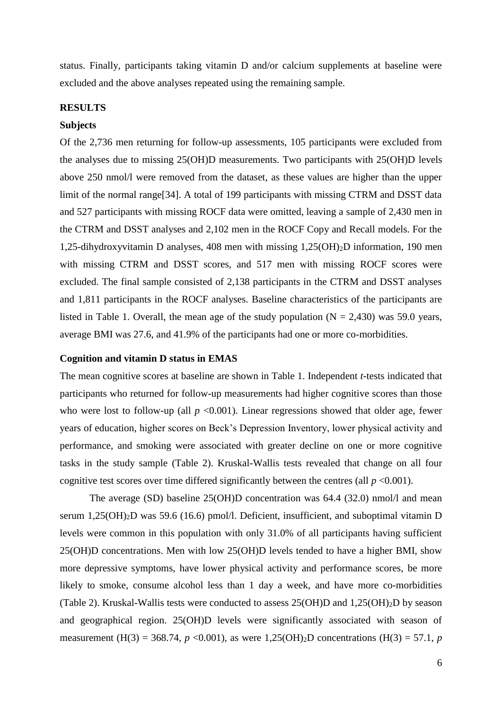status. Finally, participants taking vitamin D and/or calcium supplements at baseline were excluded and the above analyses repeated using the remaining sample.

## **RESULTS**

#### **Subjects**

Of the 2,736 men returning for follow-up assessments, 105 participants were excluded from the analyses due to missing 25(OH)D measurements. Two participants with 25(OH)D levels above 250 nmol/l were removed from the dataset, as these values are higher than the upper limit of the normal range[34]. A total of 199 participants with missing CTRM and DSST data and 527 participants with missing ROCF data were omitted, leaving a sample of 2,430 men in the CTRM and DSST analyses and 2,102 men in the ROCF Copy and Recall models. For the 1,25-dihydroxyvitamin D analyses, 408 men with missing 1,25(OH)2D information, 190 men with missing CTRM and DSST scores, and 517 men with missing ROCF scores were excluded. The final sample consisted of 2,138 participants in the CTRM and DSST analyses and 1,811 participants in the ROCF analyses. Baseline characteristics of the participants are listed in Table 1. Overall, the mean age of the study population  $(N = 2,430)$  was 59.0 years, average BMI was 27.6, and 41.9% of the participants had one or more co-morbidities.

#### **Cognition and vitamin D status in EMAS**

The mean cognitive scores at baseline are shown in Table 1. Independent *t*-tests indicated that participants who returned for follow-up measurements had higher cognitive scores than those who were lost to follow-up (all  $p \le 0.001$ ). Linear regressions showed that older age, fewer years of education, higher scores on Beck's Depression Inventory, lower physical activity and performance, and smoking were associated with greater decline on one or more cognitive tasks in the study sample (Table 2). Kruskal-Wallis tests revealed that change on all four cognitive test scores over time differed significantly between the centres (all  $p \le 0.001$ ).

The average (SD) baseline 25(OH)D concentration was 64.4 (32.0) nmol/l and mean serum 1,25(OH)<sub>2</sub>D was 59.6 (16.6) pmol/l. Deficient, insufficient, and suboptimal vitamin D levels were common in this population with only 31.0% of all participants having sufficient 25(OH)D concentrations. Men with low 25(OH)D levels tended to have a higher BMI, show more depressive symptoms, have lower physical activity and performance scores, be more likely to smoke, consume alcohol less than 1 day a week, and have more co-morbidities (Table 2). Kruskal-Wallis tests were conducted to assess 25(OH)D and 1,25(OH)2D by season and geographical region. 25(OH)D levels were significantly associated with season of measurement (H(3) = 368.74,  $p \le 0.001$ ), as were 1,25(OH)<sub>2</sub>D concentrations (H(3) = 57.1,  $p$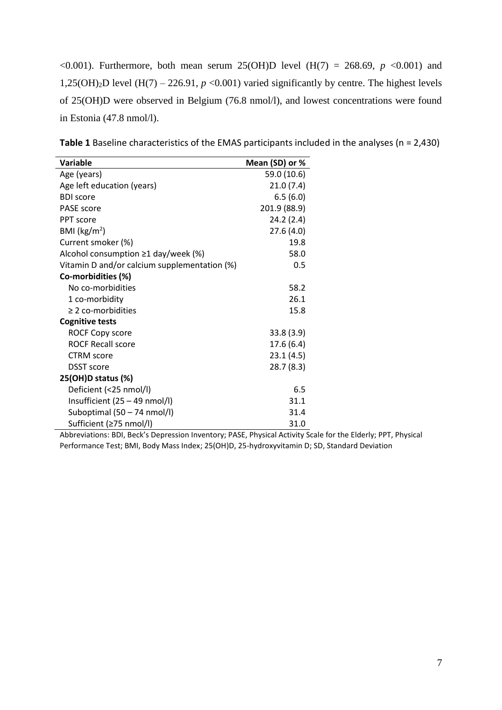<0.001). Furthermore, both mean serum 25(OH)D level ( $H(7) = 268.69$ ,  $p \le 0.001$ ) and 1,25(OH)<sub>2</sub>D level (H(7) – 226.91,  $p \le 0.001$ ) varied significantly by centre. The highest levels of 25(OH)D were observed in Belgium (76.8 nmol/l), and lowest concentrations were found in Estonia (47.8 nmol/l).

| Variable                                     | Mean (SD) or % |
|----------------------------------------------|----------------|
| Age (years)                                  | 59.0 (10.6)    |
| Age left education (years)                   | 21.0(7.4)      |
| <b>BDI</b> score                             | 6.5(6.0)       |
| <b>PASE</b> score                            | 201.9 (88.9)   |
| PPT score                                    | 24.2 (2.4)     |
| BMI ( $\text{kg/m}^2$ )                      | 27.6(4.0)      |
| Current smoker (%)                           | 19.8           |
| Alcohol consumption $\geq 1$ day/week (%)    | 58.0           |
| Vitamin D and/or calcium supplementation (%) | 0.5            |
| Co-morbidities (%)                           |                |
| No co-morbidities                            | 58.2           |
| 1 co-morbidity                               | 26.1           |
| $\geq$ 2 co-morbidities                      | 15.8           |
| <b>Cognitive tests</b>                       |                |
| <b>ROCF Copy score</b>                       | 33.8(3.9)      |
| <b>ROCF Recall score</b>                     | 17.6(6.4)      |
| <b>CTRM</b> score                            | 23.1(4.5)      |
| <b>DSST</b> score                            | 28.7(8.3)      |
| 25(OH)D status (%)                           |                |
| Deficient (<25 nmol/l)                       | 6.5            |
| Insufficient $(25 - 49 \text{ nmol/l})$      | 31.1           |
| Suboptimal (50 - 74 nmol/l)                  | 31.4           |
| Sufficient (≥75 nmol/l)                      | 31.0           |

| Table 1 Baseline characteristics of the EMAS participants included in the analyses ( $n = 2,430$ ) |  |
|----------------------------------------------------------------------------------------------------|--|
|----------------------------------------------------------------------------------------------------|--|

Abbreviations: BDI, Beck's Depression Inventory; PASE, Physical Activity Scale for the Elderly; PPT, Physical Performance Test; BMI, Body Mass Index; 25(OH)D, 25-hydroxyvitamin D; SD, Standard Deviation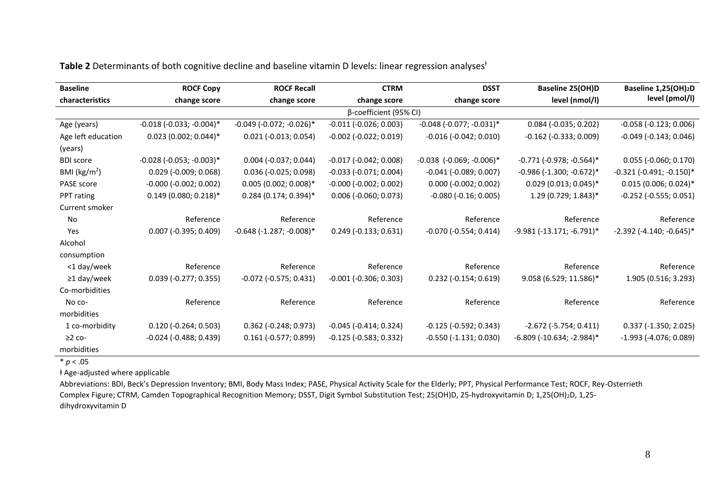| <b>Baseline</b>         | <b>ROCF Copy</b>                  | <b>ROCF Recall</b>                | <b>CTRM</b>                  | <b>DSST</b>                       | Baseline 25(OH)D                   | Baseline 1,25(OH) <sub>2</sub> D  |
|-------------------------|-----------------------------------|-----------------------------------|------------------------------|-----------------------------------|------------------------------------|-----------------------------------|
| characteristics         | change score                      | change score                      | change score                 | change score                      | level (nmol/l)                     | level (pmol/l)                    |
|                         |                                   |                                   | β-coefficient (95% CI)       |                                   |                                    |                                   |
| Age (years)             | $-0.018$ ( $-0.033$ ; $-0.004$ )* | $-0.049$ ( $-0.072$ ; $-0.026$ )* | $-0.011$ $(-0.026; 0.003)$   | $-0.048$ ( $-0.077$ ; $-0.031$ )* | $0.084$ (-0.035; 0.202)            | $-0.058$ $(-0.123; 0.006)$        |
| Age left education      | $0.023$ (0.002; 0.044)*           | $0.021$ (-0.013; 0.054)           | $-0.002$ $(-0.022; 0.019)$   | $-0.016$ $(-0.042; 0.010)$        | $-0.162$ ( $-0.333$ ; 0.009)       | $-0.049$ $(-0.143; 0.046)$        |
| (years)                 |                                   |                                   |                              |                                   |                                    |                                   |
| <b>BDI</b> score        | $-0.028$ ( $-0.053$ ; $-0.003$ )* | $0.004$ (-0.037; 0.044)           | $-0.017$ ( $-0.042$ ; 0.008) | $-0.038$ $(-0.069; -0.006)^*$     | $-0.771$ ( $-0.978$ ; $-0.564$ )*  | $0.055$ (-0.060; 0.170)           |
| BMI ( $\text{kg/m}^2$ ) | $0.029$ (-0.009; 0.068)           | $0.036$ (-0.025; 0.098)           | $-0.033$ $(-0.071; 0.004)$   | $-0.041$ ( $-0.089$ ; 0.007)      | $-0.986$ ( $-1.300$ ; $-0.672$ )*  | $-0.321$ $(-0.491; -0.150)^*$     |
| PASE score              | $-0.000$ $(-0.002; 0.002)$        | $0.005(0.002; 0.008)*$            | $-0.000$ $(-0.002; 0.002)$   | $0.000$ (-0.002; 0.002)           | $0.029$ (0.013; 0.045)*            | $0.015$ (0.006; 0.024)*           |
| PPT rating              | $0.149$ (0.080; 0.218)*           | $0.284$ (0.174; 0.394)*           | $0.006$ (-0.060; 0.073)      | $-0.080$ $(-0.16; 0.005)$         | 1.29 (0.729; 1.843)*               | $-0.252$ ( $-0.555$ ; 0.051)      |
| Current smoker          |                                   |                                   |                              |                                   |                                    |                                   |
| No                      | Reference                         | Reference                         | Reference                    | Reference                         | Reference                          | Reference                         |
| Yes                     | $0.007$ (-0.395; 0.409)           | $-0.648$ ( $-1.287$ ; $-0.008$ )* | $0.249$ (-0.133; 0.631)      | $-0.070$ ( $-0.554$ ; 0.414)      | $-9.981$ ( $-13.171$ ; $-6.791$ )* | $-2.392$ ( $-4.140$ ; $-0.645$ )* |
| Alcohol                 |                                   |                                   |                              |                                   |                                    |                                   |
| consumption             |                                   |                                   |                              |                                   |                                    |                                   |
| <1 day/week             | Reference                         | Reference                         | Reference                    | Reference                         | Reference                          | Reference                         |
| $\geq$ 1 day/week       | $0.039$ (-0.277; 0.355)           | $-0.072$ ( $-0.575$ ; 0.431)      | $-0.001$ ( $-0.306$ ; 0.303) | $0.232$ (-0.154; 0.619)           | 9.058 (6.529; 11.586)*             | 1.905 (0.516; 3.293)              |
| Co-morbidities          |                                   |                                   |                              |                                   |                                    |                                   |
| No co-                  | Reference                         | Reference                         | Reference                    | Reference                         | Reference                          | Reference                         |
| morbidities             |                                   |                                   |                              |                                   |                                    |                                   |
| 1 co-morbidity          | $0.120$ (-0.264; 0.503)           | $0.362$ (-0.248; 0.973)           | $-0.045$ ( $-0.414$ ; 0.324) | $-0.125$ $(-0.592; 0.343)$        | $-2.672$ ( $-5.754$ ; 0.411)       | $0.337$ (-1.350; 2.025)           |
| $\geq$ 2 co-            | $-0.024$ ( $-0.488$ ; 0.439)      | $0.161$ (-0.577; 0.899)           | $-0.125$ ( $-0.583; 0.332$ ) | $-0.550$ $(-1.131; 0.030)$        | $-6.809$ ( $-10.634$ ; $-2.984$ )* | $-1.993$ ( $-4.076$ ; 0.089)      |
| morbidities             |                                   |                                   |                              |                                   |                                    |                                   |

# Table 2 Determinants of both cognitive decline and baseline vitamin D levels: linear regression analyses<sup>+</sup>

 $* p < .05$ 

ƚ Age-adjusted where applicable

Abbreviations: BDI, Beck's Depression Inventory; BMI, Body Mass Index; PASE, Physical Activity Scale for the Elderly; PPT, Physical Performance Test; ROCF, Rey-Osterrieth Complex Figure; CTRM, Camden Topographical Recognition Memory; DSST, Digit Symbol Substitution Test; 25(OH)D, 25-hydroxyvitamin D; 1,25(OH)2D, 1,25 dihydroxyvitamin D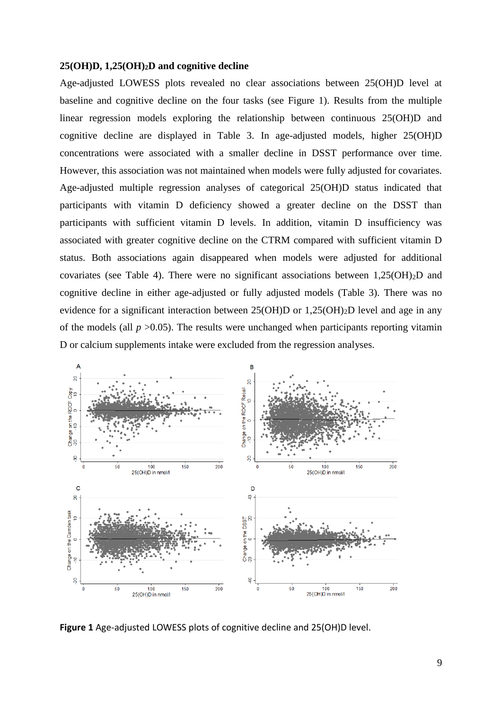## **25(OH)D, 1,25(OH)2D and cognitive decline**

Age-adjusted LOWESS plots revealed no clear associations between 25(OH)D level at baseline and cognitive decline on the four tasks (see Figure 1). Results from the multiple linear regression models exploring the relationship between continuous 25(OH)D and cognitive decline are displayed in Table 3. In age-adjusted models, higher 25(OH)D concentrations were associated with a smaller decline in DSST performance over time. However, this association was not maintained when models were fully adjusted for covariates. Age-adjusted multiple regression analyses of categorical 25(OH)D status indicated that participants with vitamin D deficiency showed a greater decline on the DSST than participants with sufficient vitamin D levels. In addition, vitamin D insufficiency was associated with greater cognitive decline on the CTRM compared with sufficient vitamin D status. Both associations again disappeared when models were adjusted for additional covariates (see Table 4). There were no significant associations between  $1,25(OH)<sub>2</sub>D$  and cognitive decline in either age-adjusted or fully adjusted models (Table 3). There was no evidence for a significant interaction between 25(OH)D or 1,25(OH)2D level and age in any of the models (all  $p > 0.05$ ). The results were unchanged when participants reporting vitamin D or calcium supplements intake were excluded from the regression analyses.



**Figure 1** Age-adjusted LOWESS plots of cognitive decline and 25(OH)D level.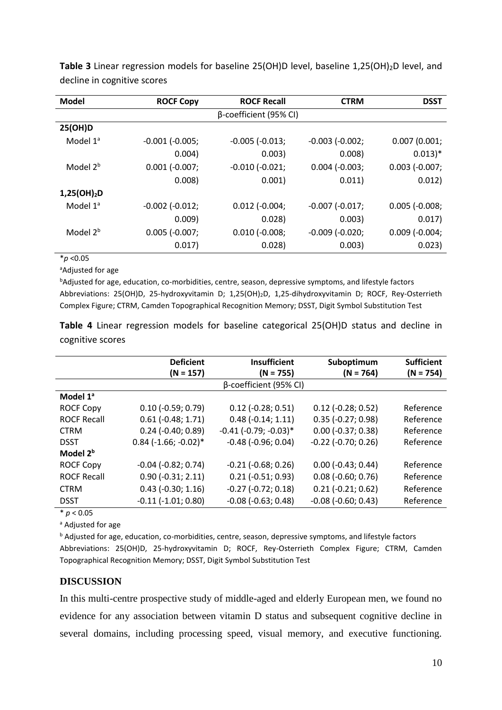| <b>Model</b>            | <b>ROCF Copy</b>      | <b>ROCF Recall</b>     | <b>CTRM</b>         | <b>DSST</b>          |
|-------------------------|-----------------------|------------------------|---------------------|----------------------|
|                         |                       | β-coefficient (95% CI) |                     |                      |
| 25(OH)D                 |                       |                        |                     |                      |
| Model $1^a$             | $-0.001$ ( $-0.005$ ; | $-0.005$ $(-0.013)$    | $-0.003$ $(-0.002)$ | 0.007(0.001)         |
|                         | 0.004)                | 0.003)                 | 0.008)              | $0.013)*$            |
| Model 2 <sup>b</sup>    | $0.001$ (-0.007;      | $-0.010$ $(-0.021)$    | $0.004$ $(-0.003)$  | $0.003$ (-0.007;     |
|                         | 0.008                 | 0.001)                 | 0.011)              | 0.012)               |
| 1,25(OH) <sub>2</sub> D |                       |                        |                     |                      |
| Model $1^a$             | $-0.002$ $(-0.012)$   | $0.012$ ( $-0.004$ ;   | $-0.007$ $(-0.017)$ | $0.005$ ( $-0.008$ ; |
|                         | 0.009                 | 0.028)                 | 0.003)              | 0.017)               |
| Model 2 <sup>b</sup>    | $0.005$ (-0.007;      | $0.010$ ( $-0.008$ ;   | $-0.009$ $(-0.020)$ | $0.009$ $(-0.004)$   |
|                         | 0.017)                | 0.028)                 | 0.003)              | 0.023)               |

**Table 3** Linear regression models for baseline 25(OH)D level, baseline 1,25(OH)<sub>2</sub>D level, and decline in cognitive scores

 $\frac{1}{4} p$  < 0.05

aAdjusted for age

**bAdjusted for age, education, co-morbidities, centre, season, depressive symptoms, and lifestyle factors** Abbreviations: 25(OH)D, 25-hydroxyvitamin D; 1,25(OH)2D, 1,25-dihydroxyvitamin D; ROCF, Rey-Osterrieth Complex Figure; CTRM, Camden Topographical Recognition Memory; DSST, Digit Symbol Substitution Test

**Table 4** Linear regression models for baseline categorical 25(OH)D status and decline in cognitive scores

|                      | <b>Deficient</b><br>$(N = 157)$ | <b>Insufficient</b><br>$(N = 755)$ | Suboptimum<br>$(N = 764)$ | <b>Sufficient</b><br>$(N = 754)$ |
|----------------------|---------------------------------|------------------------------------|---------------------------|----------------------------------|
|                      |                                 | β-coefficient (95% CI)             |                           |                                  |
| Model 1ª             |                                 |                                    |                           |                                  |
| <b>ROCF Copy</b>     | $0.10$ (-0.59; 0.79)            | $0.12$ (-0.28; 0.51)               | $0.12$ (-0.28; 0.52)      | Reference                        |
| <b>ROCF Recall</b>   | $0.61$ ( $-0.48$ ; 1.71)        | $0.48$ ( $-0.14$ ; 1.11)           | $0.35$ (-0.27; 0.98)      | Reference                        |
| <b>CTRM</b>          | $0.24$ (-0.40; 0.89)            | $-0.41$ ( $-0.79$ ; $-0.03$ )*     | $0.00$ (-0.37; 0.38)      | Reference                        |
| <b>DSST</b>          | $0.84$ (-1.66; -0.02)*          | $-0.48$ ( $-0.96$ ; 0.04)          | $-0.22$ $(-0.70; 0.26)$   | Reference                        |
| Model 2 <sup>b</sup> |                                 |                                    |                           |                                  |
| <b>ROCF Copy</b>     | $-0.04$ $(-0.82; 0.74)$         | $-0.21$ $(-0.68; 0.26)$            | $0.00$ (-0.43; 0.44)      | Reference                        |
| <b>ROCF Recall</b>   | $0.90$ (-0.31; 2.11)            | $0.21$ ( $-0.51$ ; 0.93)           | $0.08$ (-0.60; 0.76)      | Reference                        |
| <b>CTRM</b>          | $0.43$ ( $-0.30; 1.16$ )        | $-0.27$ $(-0.72; 0.18)$            | $0.21 (-0.21; 0.62)$      | Reference                        |
| <b>DSST</b>          | $-0.11$ $(-1.01; 0.80)$         | $-0.08$ ( $-0.63$ ; 0.48)          | $-0.08$ ( $-0.60; 0.43$ ) | Reference                        |
|                      |                                 |                                    |                           |                                  |

 $* p < 0.05$ 

a Adjusted for age

b Adjusted for age, education, co-morbidities, centre, season, depressive symptoms, and lifestyle factors Abbreviations: 25(OH)D, 25-hydroxyvitamin D; ROCF, Rey-Osterrieth Complex Figure; CTRM, Camden

Topographical Recognition Memory; DSST, Digit Symbol Substitution Test

# **DISCUSSION**

In this multi-centre prospective study of middle-aged and elderly European men, we found no evidence for any association between vitamin D status and subsequent cognitive decline in several domains, including processing speed, visual memory, and executive functioning.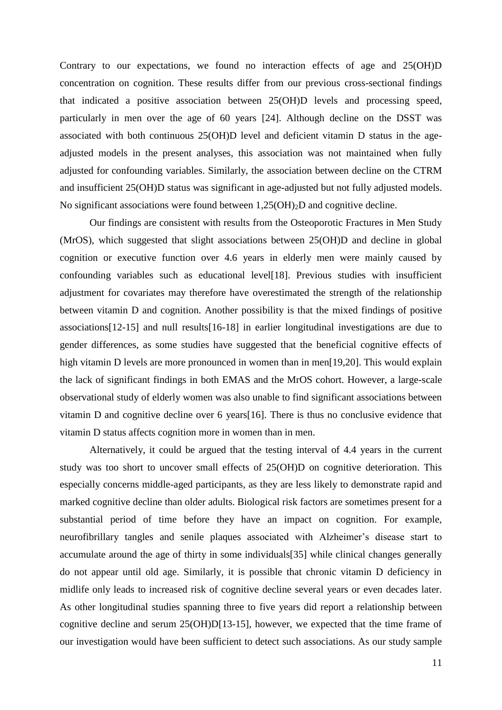Contrary to our expectations, we found no interaction effects of age and 25(OH)D concentration on cognition. These results differ from our previous cross-sectional findings that indicated a positive association between 25(OH)D levels and processing speed, particularly in men over the age of 60 years [24]. Although decline on the DSST was associated with both continuous 25(OH)D level and deficient vitamin D status in the ageadjusted models in the present analyses, this association was not maintained when fully adjusted for confounding variables. Similarly, the association between decline on the CTRM and insufficient 25(OH)D status was significant in age-adjusted but not fully adjusted models. No significant associations were found between  $1,25(OH)_2D$  and cognitive decline.

Our findings are consistent with results from the Osteoporotic Fractures in Men Study (MrOS), which suggested that slight associations between 25(OH)D and decline in global cognition or executive function over 4.6 years in elderly men were mainly caused by confounding variables such as educational level[18]. Previous studies with insufficient adjustment for covariates may therefore have overestimated the strength of the relationship between vitamin D and cognition. Another possibility is that the mixed findings of positive associations[12-15] and null results[16-18] in earlier longitudinal investigations are due to gender differences, as some studies have suggested that the beneficial cognitive effects of high vitamin D levels are more pronounced in women than in men[19,20]. This would explain the lack of significant findings in both EMAS and the MrOS cohort. However, a large-scale observational study of elderly women was also unable to find significant associations between vitamin D and cognitive decline over 6 years[16]. There is thus no conclusive evidence that vitamin D status affects cognition more in women than in men.

Alternatively, it could be argued that the testing interval of 4.4 years in the current study was too short to uncover small effects of 25(OH)D on cognitive deterioration. This especially concerns middle-aged participants, as they are less likely to demonstrate rapid and marked cognitive decline than older adults. Biological risk factors are sometimes present for a substantial period of time before they have an impact on cognition. For example, neurofibrillary tangles and senile plaques associated with Alzheimer's disease start to accumulate around the age of thirty in some individuals[35] while clinical changes generally do not appear until old age. Similarly, it is possible that chronic vitamin D deficiency in midlife only leads to increased risk of cognitive decline several years or even decades later. As other longitudinal studies spanning three to five years did report a relationship between cognitive decline and serum 25(OH)D[13-15], however, we expected that the time frame of our investigation would have been sufficient to detect such associations. As our study sample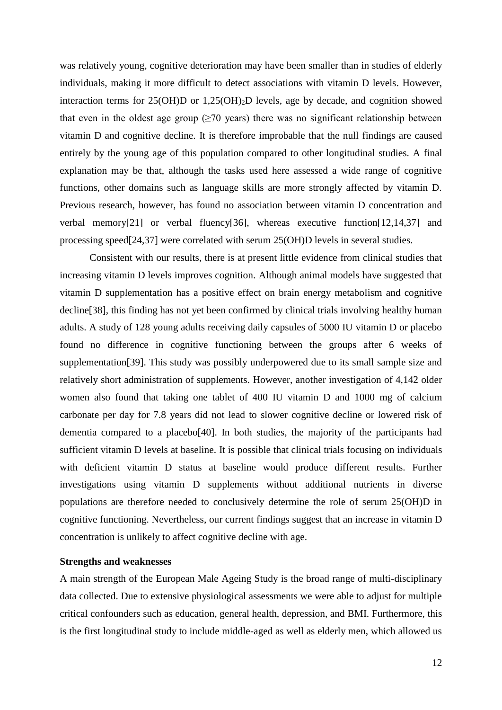was relatively young, cognitive deterioration may have been smaller than in studies of elderly individuals, making it more difficult to detect associations with vitamin D levels. However, interaction terms for 25(OH)D or 1,25(OH)2D levels, age by decade, and cognition showed that even in the oldest age group ( $\geq 70$  years) there was no significant relationship between vitamin D and cognitive decline. It is therefore improbable that the null findings are caused entirely by the young age of this population compared to other longitudinal studies. A final explanation may be that, although the tasks used here assessed a wide range of cognitive functions, other domains such as language skills are more strongly affected by vitamin D. Previous research, however, has found no association between vitamin D concentration and verbal memory[21] or verbal fluency[36], whereas executive function[12,14,37] and processing speed[24,37] were correlated with serum 25(OH)D levels in several studies.

Consistent with our results, there is at present little evidence from clinical studies that increasing vitamin D levels improves cognition. Although animal models have suggested that vitamin D supplementation has a positive effect on brain energy metabolism and cognitive decline[38], this finding has not yet been confirmed by clinical trials involving healthy human adults. A study of 128 young adults receiving daily capsules of 5000 IU vitamin D or placebo found no difference in cognitive functioning between the groups after 6 weeks of supplementation[39]. This study was possibly underpowered due to its small sample size and relatively short administration of supplements. However, another investigation of 4,142 older women also found that taking one tablet of 400 IU vitamin D and 1000 mg of calcium carbonate per day for 7.8 years did not lead to slower cognitive decline or lowered risk of dementia compared to a placebo[40]. In both studies, the majority of the participants had sufficient vitamin D levels at baseline. It is possible that clinical trials focusing on individuals with deficient vitamin D status at baseline would produce different results. Further investigations using vitamin D supplements without additional nutrients in diverse populations are therefore needed to conclusively determine the role of serum 25(OH)D in cognitive functioning. Nevertheless, our current findings suggest that an increase in vitamin D concentration is unlikely to affect cognitive decline with age.

## **Strengths and weaknesses**

A main strength of the European Male Ageing Study is the broad range of multi-disciplinary data collected. Due to extensive physiological assessments we were able to adjust for multiple critical confounders such as education, general health, depression, and BMI. Furthermore, this is the first longitudinal study to include middle-aged as well as elderly men, which allowed us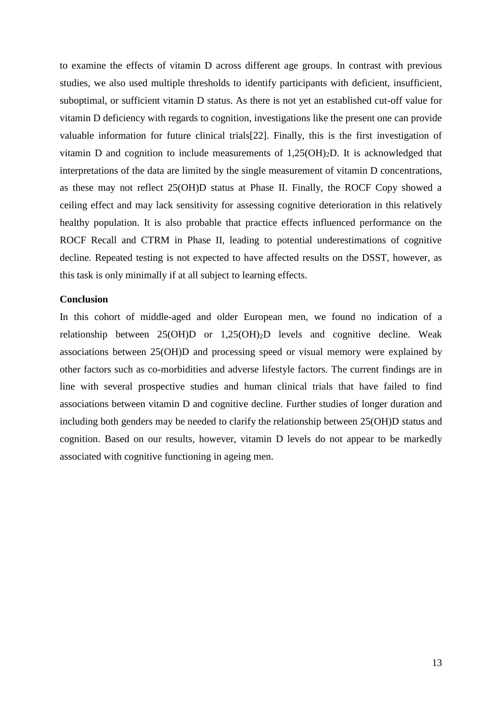to examine the effects of vitamin D across different age groups. In contrast with previous studies, we also used multiple thresholds to identify participants with deficient, insufficient, suboptimal, or sufficient vitamin D status. As there is not yet an established cut-off value for vitamin D deficiency with regards to cognition, investigations like the present one can provide valuable information for future clinical trials[22]. Finally, this is the first investigation of vitamin D and cognition to include measurements of  $1,25(OH)_2D$ . It is acknowledged that interpretations of the data are limited by the single measurement of vitamin D concentrations, as these may not reflect 25(OH)D status at Phase II. Finally, the ROCF Copy showed a ceiling effect and may lack sensitivity for assessing cognitive deterioration in this relatively healthy population. It is also probable that practice effects influenced performance on the ROCF Recall and CTRM in Phase II, leading to potential underestimations of cognitive decline. Repeated testing is not expected to have affected results on the DSST, however, as this task is only minimally if at all subject to learning effects.

## **Conclusion**

In this cohort of middle-aged and older European men, we found no indication of a relationship between 25(OH)D or 1,25(OH)2D levels and cognitive decline. Weak associations between 25(OH)D and processing speed or visual memory were explained by other factors such as co-morbidities and adverse lifestyle factors. The current findings are in line with several prospective studies and human clinical trials that have failed to find associations between vitamin D and cognitive decline. Further studies of longer duration and including both genders may be needed to clarify the relationship between 25(OH)D status and cognition. Based on our results, however, vitamin D levels do not appear to be markedly associated with cognitive functioning in ageing men.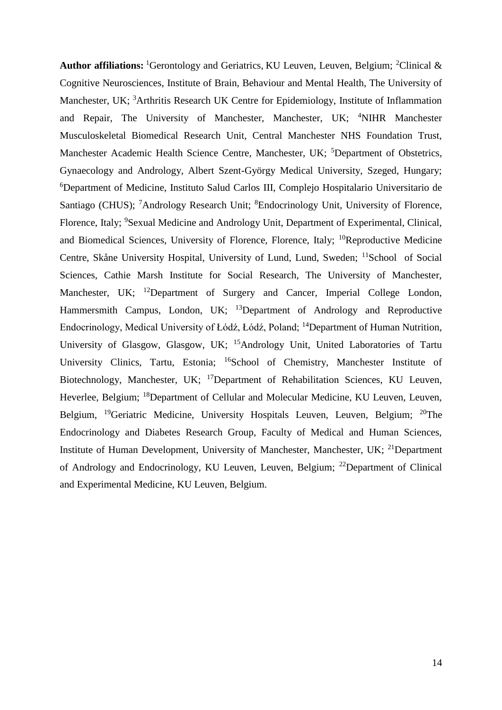**Author affiliations:** <sup>1</sup>Gerontology and Geriatrics, KU Leuven, Leuven, Belgium; <sup>2</sup>Clinical  $\&$ Cognitive Neurosciences, Institute of Brain, Behaviour and Mental Health, The University of Manchester, UK; <sup>3</sup>Arthritis Research UK Centre for Epidemiology, Institute of Inflammation and Repair, The University of Manchester, Manchester, UK; <sup>4</sup>NIHR Manchester Musculoskeletal Biomedical Research Unit, Central Manchester NHS Foundation Trust, Manchester Academic Health Science Centre, Manchester, UK; <sup>5</sup>Department of Obstetrics, Gynaecology and Andrology, Albert Szent-György Medical University, Szeged, Hungary; <sup>6</sup>Department of Medicine, Instituto Salud Carlos III, Complejo Hospitalario Universitario de Santiago (CHUS); <sup>7</sup>Andrology Research Unit; <sup>8</sup>Endocrinology Unit, University of Florence, Florence, Italy; <sup>9</sup>Sexual Medicine and Andrology Unit, Department of Experimental, Clinical, and Biomedical Sciences, University of Florence, Florence, Italy;  $^{10}$ Reproductive Medicine Centre, Skåne University Hospital, University of Lund, Lund, Sweden; <sup>11</sup>School of Social Sciences, Cathie Marsh Institute for Social Research, The University of Manchester, Manchester, UK; <sup>12</sup>Department of Surgery and Cancer, Imperial College London, Hammersmith Campus, London, UK;  $^{13}$ Department of Andrology and Reproductive Endocrinology, Medical University of Łódź, Łódź, Poland; <sup>14</sup>Department of Human Nutrition, University of Glasgow, Glasgow, UK; <sup>15</sup>Andrology Unit, United Laboratories of Tartu University Clinics, Tartu, Estonia; <sup>16</sup>School of Chemistry, Manchester Institute of Biotechnology, Manchester, UK; <sup>17</sup>Department of Rehabilitation Sciences, KU Leuven, Heverlee, Belgium; <sup>18</sup>Department of Cellular and Molecular Medicine, KU Leuven, Leuven, Belgium, <sup>19</sup>Geriatric Medicine, University Hospitals Leuven, Leuven, Belgium; <sup>20</sup>The Endocrinology and Diabetes Research Group, Faculty of Medical and Human Sciences, Institute of Human Development, University of Manchester, Manchester, UK; <sup>21</sup>Department of Andrology and Endocrinology, KU Leuven, Leuven, Belgium; <sup>22</sup>Department of Clinical and Experimental Medicine, KU Leuven, Belgium.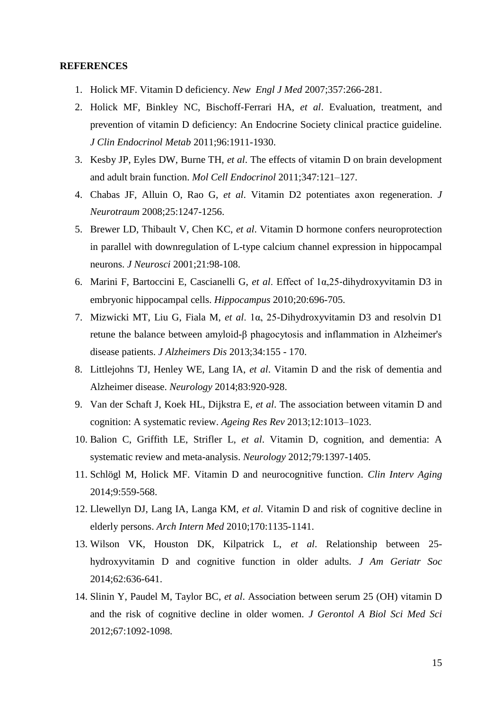## **REFERENCES**

- 1. Holick MF. Vitamin D deficiency. *New Engl J Med* 2007;357:266-281.
- 2. Holick MF, Binkley NC, Bischoff-Ferrari HA, *et al*. Evaluation, treatment, and prevention of vitamin D deficiency: An Endocrine Society clinical practice guideline. *J Clin Endocrinol Metab* 2011;96:1911-1930.
- 3. Kesby JP, Eyles DW, Burne TH, *et al*. The effects of vitamin D on brain development and adult brain function. *Mol Cell Endocrinol* 2011;347:121–127.
- 4. Chabas JF, Alluin O, Rao G, *et al*. Vitamin D2 potentiates axon regeneration. *J Neurotraum* 2008;25:1247-1256.
- 5. Brewer LD, Thibault V, Chen KC, *et al*. Vitamin D hormone confers neuroprotection in parallel with downregulation of L-type calcium channel expression in hippocampal neurons. *J Neurosci* 2001;21:98-108.
- 6. Marini F, Bartoccini E, Cascianelli G, *et al*. Effect of 1α,25‐dihydroxyvitamin D3 in embryonic hippocampal cells. *Hippocampus* 2010;20:696-705.
- 7. Mizwicki MT, Liu G, Fiala M, *et al*. 1α, 25-Dihydroxyvitamin D3 and resolvin D1 retune the balance between amyloid-β phagocytosis and inflammation in Alzheimer's disease patients. *J Alzheimers Dis* 2013;34:155 - 170.
- 8. Littlejohns TJ, Henley WE, Lang IA, *et al*. Vitamin D and the risk of dementia and Alzheimer disease. *Neurology* 2014;83:920-928.
- 9. Van der Schaft J, Koek HL, Dijkstra E, *et al*. The association between vitamin D and cognition: A systematic review. *Ageing Res Rev* 2013;12:1013–1023.
- 10. Balion C, Griffith LE, Strifler L, *et al*. Vitamin D, cognition, and dementia: A systematic review and meta-analysis. *Neurology* 2012;79:1397-1405.
- 11. Schlögl M, Holick MF. Vitamin D and neurocognitive function. *Clin Interv Aging* 2014;9:559-568.
- 12. Llewellyn DJ, Lang IA, Langa KM, *et al*. Vitamin D and risk of cognitive decline in elderly persons. *Arch Intern Med* 2010;170:1135-1141.
- 13. Wilson VK, Houston DK, Kilpatrick L, *et al*. Relationship between 25 hydroxyvitamin D and cognitive function in older adults. *J Am Geriatr Soc* 2014;62:636-641.
- 14. Slinin Y, Paudel M, Taylor BC, *et al*. Association between serum 25 (OH) vitamin D and the risk of cognitive decline in older women. *J Gerontol A Biol Sci Med Sci* 2012;67:1092-1098.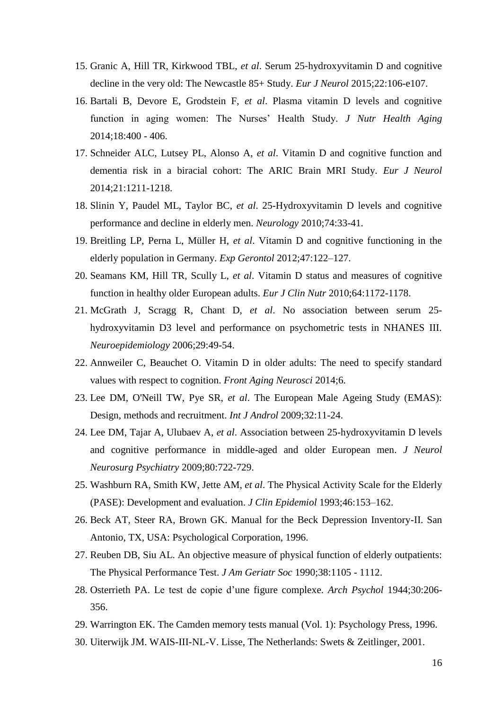- 15. Granic A, Hill TR, Kirkwood TBL, *et al*. Serum 25‐hydroxyvitamin D and cognitive decline in the very old: The Newcastle 85+ Study. *Eur J Neurol* 2015;22:106-e107.
- 16. Bartali B, Devore E, Grodstein F, *et al*. Plasma vitamin D levels and cognitive function in aging women: The Nurses' Health Study. *J Nutr Health Aging*  2014;18:400 - 406.
- 17. Schneider ALC, Lutsey PL, Alonso A, *et al*. Vitamin D and cognitive function and dementia risk in a biracial cohort: The ARIC Brain MRI Study. *Eur J Neurol*  2014;21:1211-1218.
- 18. Slinin Y, Paudel ML, Taylor BC, *et al*. 25-Hydroxyvitamin D levels and cognitive performance and decline in elderly men. *Neurology* 2010;74:33-41.
- 19. Breitling LP, Perna L, Müller H, *et al*. Vitamin D and cognitive functioning in the elderly population in Germany. *Exp Gerontol* 2012;47:122–127.
- 20. Seamans KM, Hill TR, Scully L, *et al*. Vitamin D status and measures of cognitive function in healthy older European adults. *Eur J Clin Nutr* 2010;64:1172-1178.
- 21. McGrath J, Scragg R, Chant D, *et al*. No association between serum 25 hydroxyvitamin D3 level and performance on psychometric tests in NHANES III. *Neuroepidemiology* 2006;29:49-54.
- 22. Annweiler C, Beauchet O. Vitamin D in older adults: The need to specify standard values with respect to cognition. *Front Aging Neurosci* 2014;6.
- 23. Lee DM, O'Neill TW, Pye SR, *et al*. The European Male Ageing Study (EMAS): Design, methods and recruitment. *Int J Androl* 2009;32:11-24.
- 24. Lee DM, Tajar A, Ulubaev A, *et al*. Association between 25-hydroxyvitamin D levels and cognitive performance in middle-aged and older European men. *J Neurol Neurosurg Psychiatry* 2009;80:722-729.
- 25. Washburn RA, Smith KW, Jette AM, *et al*. The Physical Activity Scale for the Elderly (PASE): Development and evaluation. *J Clin Epidemiol* 1993;46:153–162.
- 26. Beck AT, Steer RA, Brown GK. Manual for the Beck Depression Inventory-II. San Antonio, TX, USA: Psychological Corporation, 1996.
- 27. Reuben DB, Siu AL. An objective measure of physical function of elderly outpatients: The Physical Performance Test. *J Am Geriatr Soc* 1990;38:1105 - 1112.
- 28. Osterrieth PA. Le test de copie d'une figure complexe. *Arch Psychol* 1944;30:206- 356.
- 29. Warrington EK. The Camden memory tests manual (Vol. 1): Psychology Press, 1996.
- 30. Uiterwijk JM. WAIS-III-NL-V. Lisse, The Netherlands: Swets & Zeitlinger, 2001.